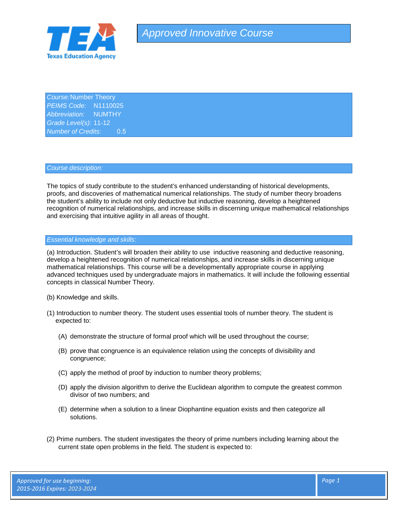

*Course:*Number Theory *PEIMS Code:* N1110025 *Abbreviation:* NUMTHY *Grade Level(s):* 11-12 *Number of Credits:* 0.5

## *Course description:*

The topics of study contribute to the student's enhanced understanding of historical developments, proofs, and discoveries of mathematical numerical relationships. The study of number theory broadens the student's ability to include not only deductive but inductive reasoning, develop a heightened recognition of numerical relationships, and increase skills in discerning unique mathematical relationships and exercising that intuitive agility in all areas of thought.

## *Essential knowledge and skills:*

(a) Introduction. Student's will broaden their ability to use inductive reasoning and deductive reasoning, develop a heightened recognition of numerical relationships, and increase skills in discerning unique mathematical relationships. This course will be a developmentally appropriate course in applying advanced techniques used by undergraduate majors in mathematics. It will include the following essential concepts in classical Number Theory.

- (b) Knowledge and skills.
- (1) Introduction to number theory. The student uses essential tools of number theory. The student is expected to:
	- (A) demonstrate the structure of formal proof which will be used throughout the course;
	- (B) prove that congruence is an equivalence relation using the concepts of divisibility and congruence;
	- (C) apply the method of proof by induction to number theory problems;
	- (D) apply the division algorithm to derive the Euclidean algorithm to compute the greatest common divisor of two numbers; and
	- (E) determine when a solution to a linear Diophantine equation exists and then categorize all solutions.
- (2) Prime numbers. The student investigates the theory of prime numbers including learning about the current state open problems in the field. The student is expected to: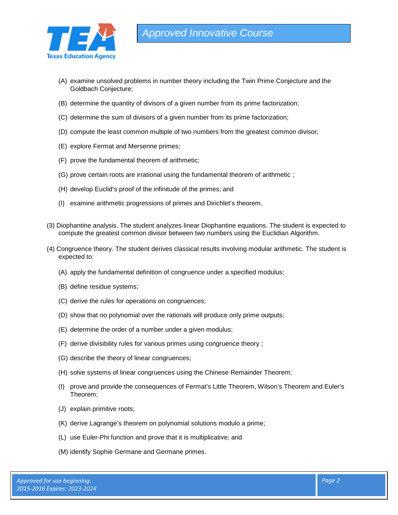

- (A) examine unsolved problems in number theory including the Twin Prime Conjecture and the Goldbach Conjecture;
- (B) determine the quantity of divisors of a given number from its prime factorization;
- (C) determine the sum of divisors of a given number from its prime factorization;
- (D) compute the least common multiple of two numbers from the greatest common divisor;
- (E) explore Fermat and Mersenne primes;
- (F) prove the fundamental theorem of arithmetic;
- (G) prove certain roots are irrational using the fundamental theorem of arithmetic ;
- (H) develop Euclid's proof of the infinitude of the primes; and
- (I) examine arithmetic progressions of primes and Dirichlet's theorem.
- (3) Diophantine analysis. The student analyzes linear Diophantine equations. The student is expected to compute the greatest common divisor between two numbers using the Euclidian Algorithm.
- (4) Congruence theory. The student derives classical results involving modular arithmetic. The student is expected to:
	- (A) apply the fundamental definition of congruence under a specified modulus;
	- (B) define residue systems;
	- (C) derive the rules for operations on congruences;
	- (D) show that no polynomial over the rationals will produce only prime outputs;
	- (E) determine the order of a number under a given modulus;
	- (F) derive divisibility rules for various primes using congruence theory ;
	- (G) describe the theory of linear congruences;
	- (H) solve systems of linear congruences using the Chinese Remainder Theorem;
	- (I) prove and provide the consequences of Fermat's Little Theorem, Wilson's Theorem and Euler's Theorem;
	- (J) explain primitive roots;
	- (K) derive Lagrange's theorem on polynomial solutions modulo a prime;
	- (L) use Euler-Phi function and prove that it is multiplicative; and
	- (M) identify Sophie Germane and Germane primes.